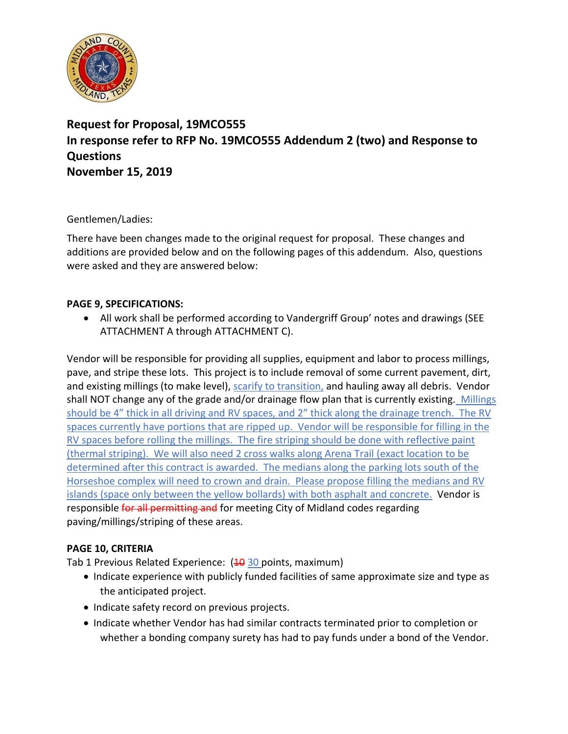

## **Request for Proposal, 19MCO555 In response refer to RFP No. 19MCO555 Addendum 2 (two) and Response to Questions November 15, 2019**

Gentlemen/Ladies:

There have been changes made to the original request for proposal. These changes and additions are provided below and on the following pages of this addendum. Also, questions were asked and they are answered below:

## **PAGE 9, SPECIFICATIONS:**

• All work shall be performed according to Vandergriff Group' notes and drawings (SEE ATTACHMENT A through ATTACHMENT C).

Vendor will be responsible for providing all supplies, equipment and labor to process millings, pave, and stripe these lots. This project is to include removal of some current pavement, dirt, and existing millings (to make level), scarify to transition, and hauling away all debris. Vendor shall NOT change any of the grade and/or drainage flow plan that is currently existing. Millings should be 4" thick in all driving and RV spaces, and 2" thick along the drainage trench. The RV spaces currently have portions that are ripped up. Vendor will be responsible for filling in the RV spaces before rolling the millings. The fire striping should be done with reflective paint (thermal striping). We will also need 2 cross walks along Arena Trail (exact location to be determined after this contract is awarded. The medians along the parking lots south of the Horseshoe complex will need to crown and drain. Please propose filling the medians and RV islands (space only between the yellow bollards) with both asphalt and concrete. Vendor is responsible for all permitting and for meeting City of Midland codes regarding paving/millings/striping of these areas.

## **PAGE 10, CRITERIA**

Tab 1 Previous Related Experience:  $(40, 30, 20)$  points, maximum)

- Indicate experience with publicly funded facilities of same approximate size and type as the anticipated project.
- Indicate safety record on previous projects.
- Indicate whether Vendor has had similar contracts terminated prior to completion or whether a bonding company surety has had to pay funds under a bond of the Vendor.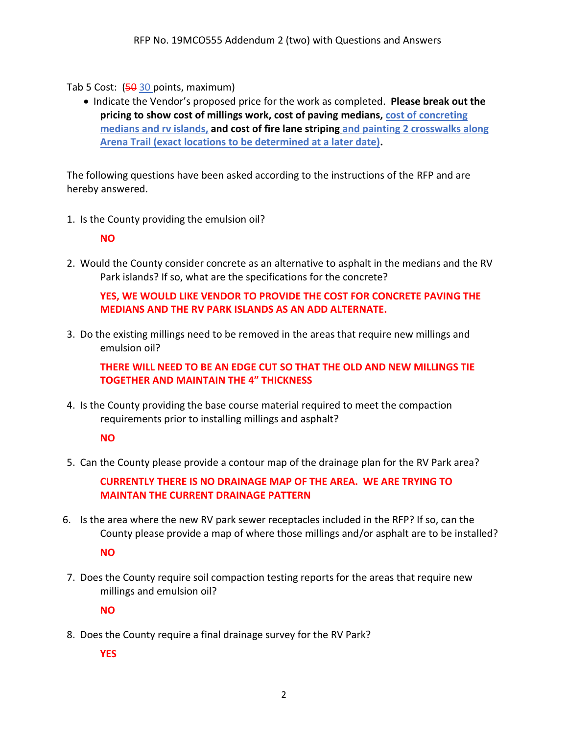Tab 5 Cost:  $(50, 30, 30)$  points, maximum

• Indicate the Vendor's proposed price for the work as completed. **Please break out the pricing to show cost of millings work, cost of paving medians, cost of concreting medians and rv islands, and cost of fire lane striping and painting 2 crosswalks along Arena Trail (exact locations to be determined at a later date).**

The following questions have been asked according to the instructions of the RFP and are hereby answered.

1. Is the County providing the emulsion oil?

**NO**

2. Would the County consider concrete as an alternative to asphalt in the medians and the RV Park islands? If so, what are the specifications for the concrete?

**YES, WE WOULD LIKE VENDOR TO PROVIDE THE COST FOR CONCRETE PAVING THE MEDIANS AND THE RV PARK ISLANDS AS AN ADD ALTERNATE.**

3. Do the existing millings need to be removed in the areas that require new millings and emulsion oil?

**THERE WILL NEED TO BE AN EDGE CUT SO THAT THE OLD AND NEW MILLINGS TIE TOGETHER AND MAINTAIN THE 4" THICKNESS**

4. Is the County providing the base course material required to meet the compaction requirements prior to installing millings and asphalt?

**NO**

5. Can the County please provide a contour map of the drainage plan for the RV Park area?

**CURRENTLY THERE IS NO DRAINAGE MAP OF THE AREA. WE ARE TRYING TO MAINTAN THE CURRENT DRAINAGE PATTERN**

- 6. Is the area where the new RV park sewer receptacles included in the RFP? If so, can the County please provide a map of where those millings and/or asphalt are to be installed? **NO**
- 7. Does the County require soil compaction testing reports for the areas that require new millings and emulsion oil?

**NO**

8. Does the County require a final drainage survey for the RV Park?

**YES**